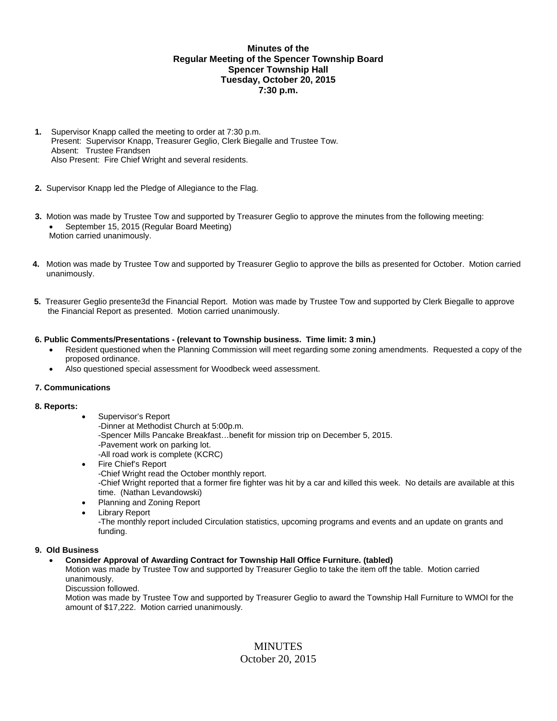# **Minutes of the Regular Meeting of the Spencer Township Board Spencer Township Hall Tuesday, October 20, 2015 7:30 p.m.**

- **1.** Supervisor Knapp called the meeting to order at 7:30 p.m. Present: Supervisor Knapp, Treasurer Geglio, Clerk Biegalle and Trustee Tow. Absent: Trustee Frandsen Also Present: Fire Chief Wright and several residents.
- **2.** Supervisor Knapp led the Pledge of Allegiance to the Flag.
- **3.** Motion was made by Trustee Tow and supported by Treasurer Geglio to approve the minutes from the following meeting: September 15, 2015 (Regular Board Meeting) Motion carried unanimously.
- **4.** Motion was made by Trustee Tow and supported by Treasurer Geglio to approve the bills as presented for October. Motion carried unanimously.
- **5.** Treasurer Geglio presente3d the Financial Report. Motion was made by Trustee Tow and supported by Clerk Biegalle to approve the Financial Report as presented. Motion carried unanimously.

### **6. Public Comments/Presentations - (relevant to Township business. Time limit: 3 min.)**

- Resident questioned when the Planning Commission will meet regarding some zoning amendments. Requested a copy of the proposed ordinance.
- Also questioned special assessment for Woodbeck weed assessment.

### **7. Communications**

### **8. Reports:**

- Supervisor's Report -Dinner at Methodist Church at 5:00p.m. -Spencer Mills Pancake Breakfast…benefit for mission trip on December 5, 2015. -Pavement work on parking lot. -All road work is complete (KCRC)
- Fire Chief's Report -Chief Wright read the October monthly report. -Chief Wright reported that a former fire fighter was hit by a car and killed this week. No details are available at this time. (Nathan Levandowski)
- Planning and Zoning Report
- Library Report -The monthly report included Circulation statistics, upcoming programs and events and an update on grants and funding.

### **9. Old Business**

### **Consider Approval of Awarding Contract for Township Hall Office Furniture. (tabled)**

Motion was made by Trustee Tow and supported by Treasurer Geglio to take the item off the table. Motion carried unanimously.

Discussion followed.

Motion was made by Trustee Tow and supported by Treasurer Geglio to award the Township Hall Furniture to WMOI for the amount of \$17,222. Motion carried unanimously.

> MINUTES October 20, 2015